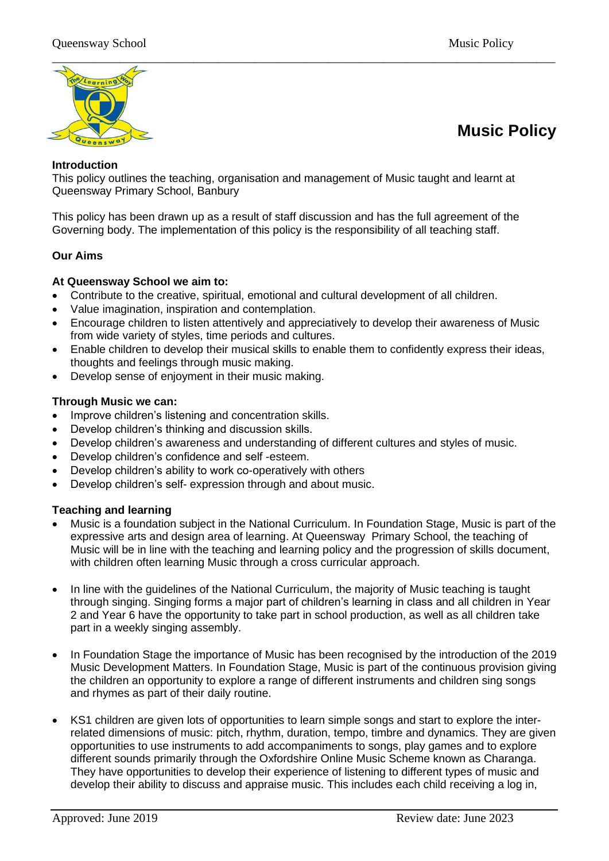

# **Music Policy**

#### **Introduction**

This policy outlines the teaching, organisation and management of Music taught and learnt at Queensway Primary School, Banbury

This policy has been drawn up as a result of staff discussion and has the full agreement of the Governing body. The implementation of this policy is the responsibility of all teaching staff.

#### **Our Aims**

## **At Queensway School we aim to:**

- Contribute to the creative, spiritual, emotional and cultural development of all children.
- Value imagination, inspiration and contemplation.
- Encourage children to listen attentively and appreciatively to develop their awareness of Music from wide variety of styles, time periods and cultures.
- Enable children to develop their musical skills to enable them to confidently express their ideas, thoughts and feelings through music making.
- Develop sense of enjoyment in their music making.

## **Through Music we can:**

- Improve children's listening and concentration skills.
- Develop children's thinking and discussion skills.
- Develop children's awareness and understanding of different cultures and styles of music.
- Develop children's confidence and self -esteem.
- Develop children's ability to work co-operatively with others
- Develop children's self- expression through and about music.

#### **Teaching and learning**

- Music is a foundation subject in the National Curriculum. In Foundation Stage, Music is part of the expressive arts and design area of learning. At Queensway Primary School, the teaching of Music will be in line with the teaching and learning policy and the progression of skills document, with children often learning Music through a cross curricular approach.
- In line with the guidelines of the National Curriculum, the majority of Music teaching is taught through singing. Singing forms a major part of children's learning in class and all children in Year 2 and Year 6 have the opportunity to take part in school production, as well as all children take part in a weekly singing assembly.
- In Foundation Stage the importance of Music has been recognised by the introduction of the 2019 Music Development Matters. In Foundation Stage, Music is part of the continuous provision giving the children an opportunity to explore a range of different instruments and children sing songs and rhymes as part of their daily routine.
- KS1 children are given lots of opportunities to learn simple songs and start to explore the interrelated dimensions of music: pitch, rhythm, duration, tempo, timbre and dynamics. They are given opportunities to use instruments to add accompaniments to songs, play games and to explore different sounds primarily through the Oxfordshire Online Music Scheme known as Charanga. They have opportunities to develop their experience of listening to different types of music and develop their ability to discuss and appraise music. This includes each child receiving a log in,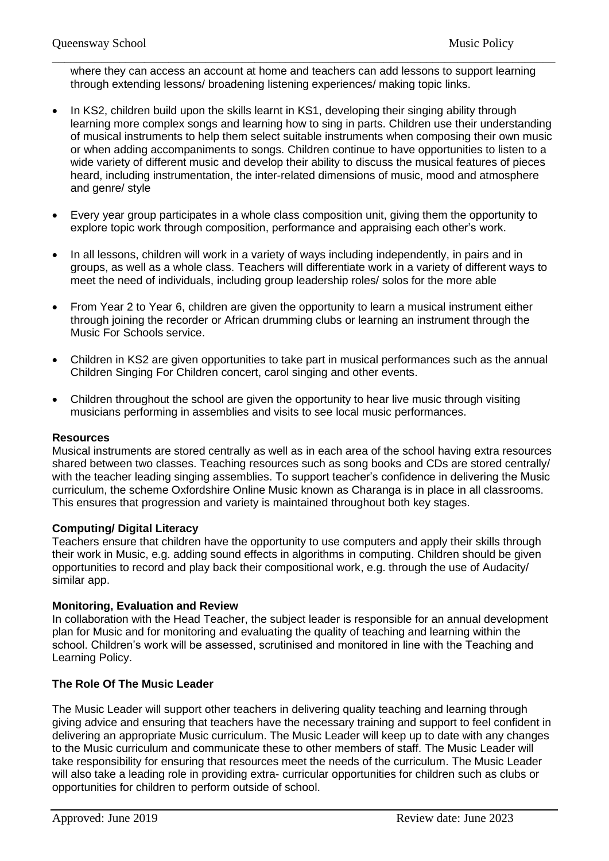\_\_\_\_\_\_\_\_\_\_\_\_\_\_\_\_\_\_\_\_\_\_\_\_\_\_\_\_\_\_\_\_\_\_\_\_\_\_\_\_\_\_\_\_\_\_\_\_\_\_\_\_\_\_\_\_\_\_\_\_\_\_\_\_\_\_\_\_\_\_\_\_\_\_\_\_\_\_\_\_\_\_ where they can access an account at home and teachers can add lessons to support learning through extending lessons/ broadening listening experiences/ making topic links.

- In KS2, children build upon the skills learnt in KS1, developing their singing ability through learning more complex songs and learning how to sing in parts. Children use their understanding of musical instruments to help them select suitable instruments when composing their own music or when adding accompaniments to songs. Children continue to have opportunities to listen to a wide variety of different music and develop their ability to discuss the musical features of pieces heard, including instrumentation, the inter-related dimensions of music, mood and atmosphere and genre/ style
- Every year group participates in a whole class composition unit, giving them the opportunity to explore topic work through composition, performance and appraising each other's work.
- In all lessons, children will work in a variety of ways including independently, in pairs and in groups, as well as a whole class. Teachers will differentiate work in a variety of different ways to meet the need of individuals, including group leadership roles/ solos for the more able
- From Year 2 to Year 6, children are given the opportunity to learn a musical instrument either through joining the recorder or African drumming clubs or learning an instrument through the Music For Schools service.
- Children in KS2 are given opportunities to take part in musical performances such as the annual Children Singing For Children concert, carol singing and other events.
- Children throughout the school are given the opportunity to hear live music through visiting musicians performing in assemblies and visits to see local music performances.

#### **Resources**

Musical instruments are stored centrally as well as in each area of the school having extra resources shared between two classes. Teaching resources such as song books and CDs are stored centrally/ with the teacher leading singing assemblies. To support teacher's confidence in delivering the Music curriculum, the scheme Oxfordshire Online Music known as Charanga is in place in all classrooms. This ensures that progression and variety is maintained throughout both key stages.

#### **Computing/ Digital Literacy**

Teachers ensure that children have the opportunity to use computers and apply their skills through their work in Music, e.g. adding sound effects in algorithms in computing. Children should be given opportunities to record and play back their compositional work, e.g. through the use of Audacity/ similar app.

#### **Monitoring, Evaluation and Review**

In collaboration with the Head Teacher, the subject leader is responsible for an annual development plan for Music and for monitoring and evaluating the quality of teaching and learning within the school. Children's work will be assessed, scrutinised and monitored in line with the Teaching and Learning Policy.

# **The Role Of The Music Leader**

The Music Leader will support other teachers in delivering quality teaching and learning through giving advice and ensuring that teachers have the necessary training and support to feel confident in delivering an appropriate Music curriculum. The Music Leader will keep up to date with any changes to the Music curriculum and communicate these to other members of staff. The Music Leader will take responsibility for ensuring that resources meet the needs of the curriculum. The Music Leader will also take a leading role in providing extra- curricular opportunities for children such as clubs or opportunities for children to perform outside of school.